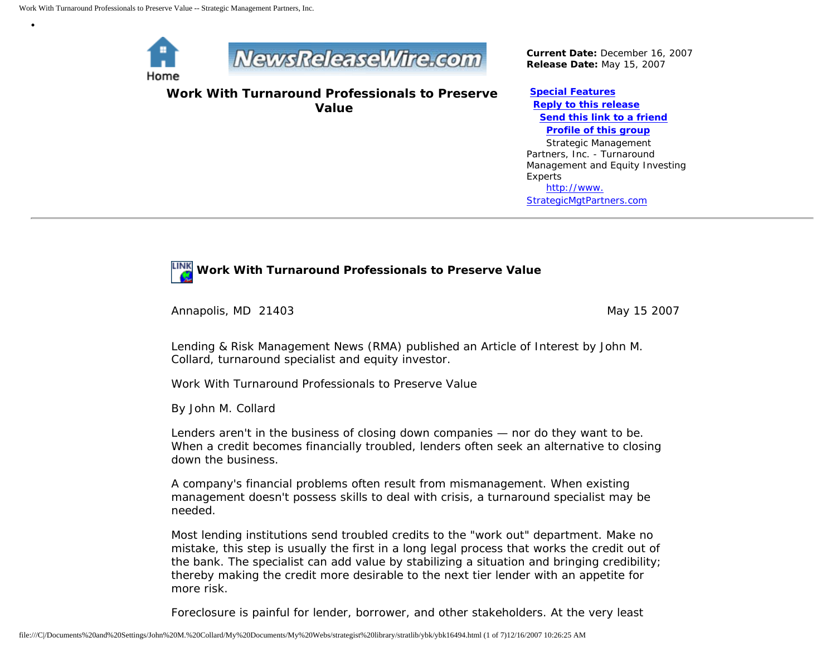

•



**Work With Turnaround Professionals to Preserve Value**

*Current Date:* December 16, 2007 *Release Date:* May 15, 2007

**[Special Features](javascript:openlittleme() [Reply to this release](file:///C|/Documents%20and%20Settings/John%20M.%20Collard/My%20Documents/My%20Webs/strategist%20library/stratlib/ybk/default.cfm?Action=ReplyRelease&Id=16494) [Send this link to a friend](file:///C|/Documents%20and%20Settings/John%20M.%20Collard/My%20Documents/My%20Webs/strategist%20library/stratlib/ybk/default.cfm?Action=SendLink&SendId=16494) [Profile of this group](file:///C|/Documents%20and%20Settings/John%20M.%20Collard/My%20Documents/My%20Webs/strategist%20library/stratlib/ybk/default.cfm?Action=Profile&ProfileId=623)** Strategic Management Partners, Inc. - Turnaround Management and Equity Investing Experts [http://www.](http://www.strategicmgtpartners.com/) [StrategicMgtPartners.com](http://www.strategicmgtpartners.com/)



Annapolis, MD 21403 May 15 2007

Lending & Risk Management News (RMA) published an Article of Interest by John M. Collard, turnaround specialist and equity investor.

Work With Turnaround Professionals to Preserve Value

By John M. Collard

Lenders aren't in the business of closing down companies — nor do they want to be. When a credit becomes financially troubled, lenders often seek an alternative to closing down the business.

A company's financial problems often result from mismanagement. When existing management doesn't possess skills to deal with crisis, a turnaround specialist may be needed.

Most lending institutions send troubled credits to the "work out" department. Make no mistake, this step is usually the first in a long legal process that works the credit out of the bank. The specialist can add value by stabilizing a situation and bringing credibility; thereby making the credit more desirable to the next tier lender with an appetite for more risk.

Foreclosure is painful for lender, borrower, and other stakeholders. At the very least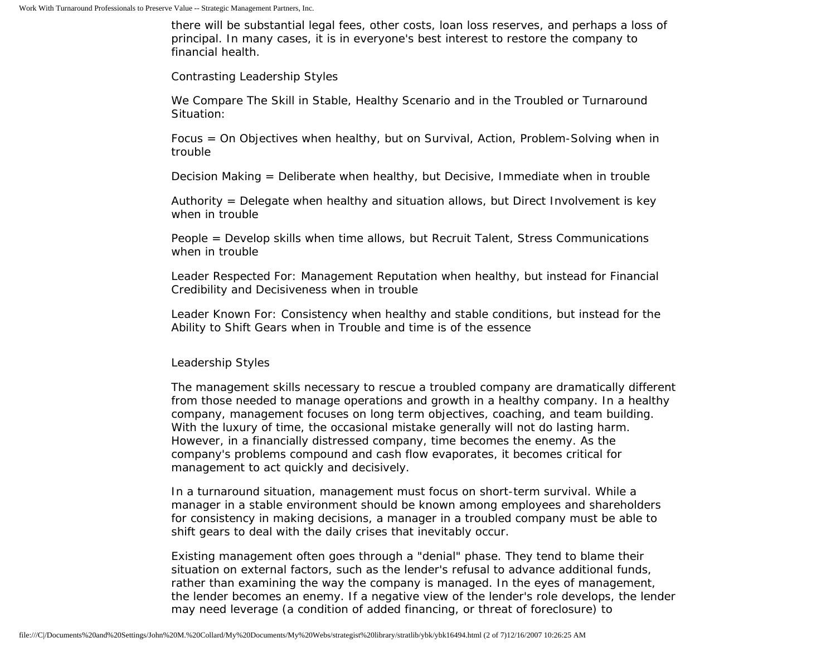there will be substantial legal fees, other costs, loan loss reserves, and perhaps a loss of principal. In many cases, it is in everyone's best interest to restore the company to financial health.

Contrasting Leadership Styles

We Compare The Skill in Stable, Healthy Scenario and in the Troubled or Turnaround Situation:

Focus = On Objectives when healthy, but on Survival, Action, Problem-Solving when in trouble

Decision Making = Deliberate when healthy, but Decisive, Immediate when in trouble

Authority = Delegate when healthy and situation allows, but Direct Involvement is key when in trouble

People = Develop skills when time allows, but Recruit Talent, Stress Communications when in trouble

Leader Respected For: Management Reputation when healthy, but instead for Financial Credibility and Decisiveness when in trouble

Leader Known For: Consistency when healthy and stable conditions, but instead for the Ability to Shift Gears when in Trouble and time is of the essence

#### Leadership Styles

The management skills necessary to rescue a troubled company are dramatically different from those needed to manage operations and growth in a healthy company. In a healthy company, management focuses on long term objectives, coaching, and team building. With the luxury of time, the occasional mistake generally will not do lasting harm. However, in a financially distressed company, time becomes the enemy. As the company's problems compound and cash flow evaporates, it becomes critical for management to act quickly and decisively.

In a turnaround situation, management must focus on short-term survival. While a manager in a stable environment should be known among employees and shareholders for consistency in making decisions, a manager in a troubled company must be able to shift gears to deal with the daily crises that inevitably occur.

Existing management often goes through a "denial" phase. They tend to blame their situation on external factors, such as the lender's refusal to advance additional funds, rather than examining the way the company is managed. In the eyes of management, the lender becomes an enemy. If a negative view of the lender's role develops, the lender may need leverage (a condition of added financing, or threat of foreclosure) to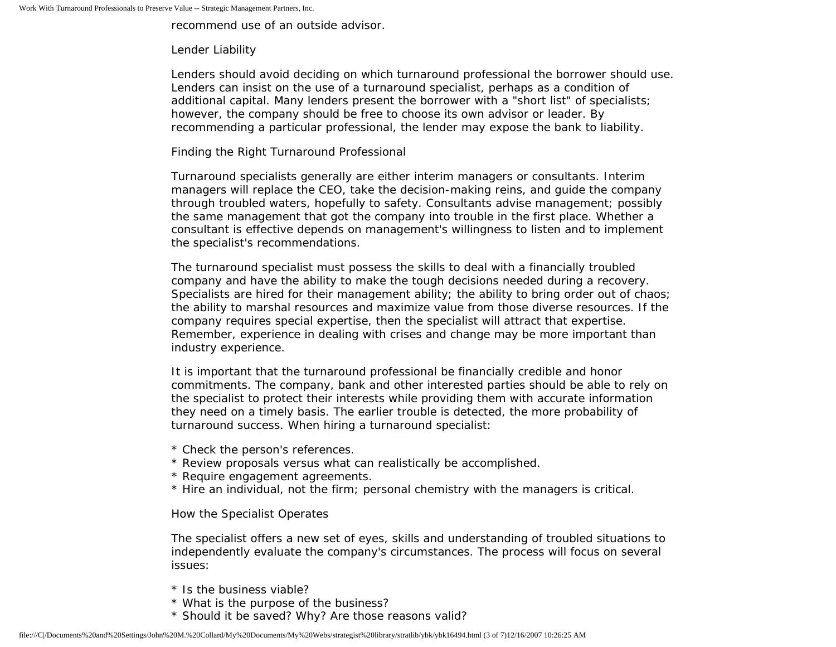recommend use of an outside advisor.

### Lender Liability

Lenders should avoid deciding on which turnaround professional the borrower should use. Lenders can insist on the use of a turnaround specialist, perhaps as a condition of additional capital. Many lenders present the borrower with a "short list" of specialists; however, the company should be free to choose its own advisor or leader. By recommending a particular professional, the lender may expose the bank to liability.

## Finding the Right Turnaround Professional

Turnaround specialists generally are either interim managers or consultants. Interim managers will replace the CEO, take the decision-making reins, and guide the company through troubled waters, hopefully to safety. Consultants advise management; possibly the same management that got the company into trouble in the first place. Whether a consultant is effective depends on management's willingness to listen and to implement the specialist's recommendations.

The turnaround specialist must possess the skills to deal with a financially troubled company and have the ability to make the tough decisions needed during a recovery. Specialists are hired for their management ability; the ability to bring order out of chaos; the ability to marshal resources and maximize value from those diverse resources. If the company requires special expertise, then the specialist will attract that expertise. Remember, experience in dealing with crises and change may be more important than industry experience.

It is important that the turnaround professional be financially credible and honor commitments. The company, bank and other interested parties should be able to rely on the specialist to protect their interests while providing them with accurate information they need on a timely basis. The earlier trouble is detected, the more probability of turnaround success. When hiring a turnaround specialist:

- \* Check the person's references.
- \* Review proposals versus what can realistically be accomplished.
- \* Require engagement agreements.
- \* Hire an individual, not the firm; personal chemistry with the managers is critical.

#### How the Specialist Operates

The specialist offers a new set of eyes, skills and understanding of troubled situations to independently evaluate the company's circumstances. The process will focus on several issues:

- \* Is the business viable?
- \* What is the purpose of the business?
- \* Should it be saved? Why? Are those reasons valid?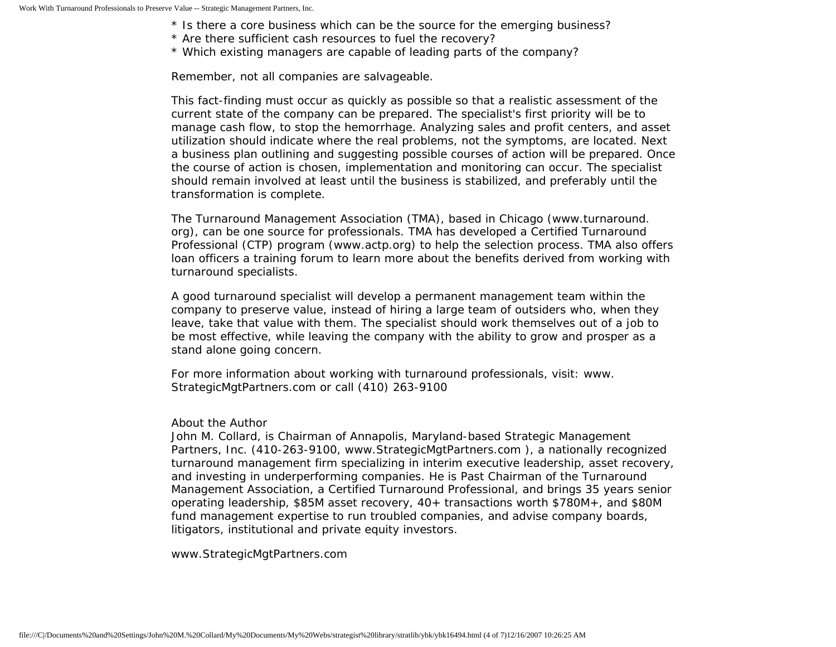- \* Is there a core business which can be the source for the emerging business?
- \* Are there sufficient cash resources to fuel the recovery?
- \* Which existing managers are capable of leading parts of the company?

Remember, not all companies are salvageable.

This fact-finding must occur as quickly as possible so that a realistic assessment of the current state of the company can be prepared. The specialist's first priority will be to manage cash flow, to stop the hemorrhage. Analyzing sales and profit centers, and asset utilization should indicate where the real problems, not the symptoms, are located. Next a business plan outlining and suggesting possible courses of action will be prepared. Once the course of action is chosen, implementation and monitoring can occur. The specialist should remain involved at least until the business is stabilized, and preferably until the transformation is complete.

The Turnaround Management Association (TMA), based in Chicago (www.turnaround. org), can be one source for professionals. TMA has developed a Certified Turnaround Professional (CTP) program (www.actp.org) to help the selection process. TMA also offers loan officers a training forum to learn more about the benefits derived from working with turnaround specialists.

A good turnaround specialist will develop a permanent management team within the company to preserve value, instead of hiring a large team of outsiders who, when they leave, take that value with them. The specialist should work themselves out of a job to be most effective, while leaving the company with the ability to grow and prosper as a stand alone going concern.

For more information about working with turnaround professionals, visit: www. StrategicMgtPartners.com or call (410) 263-9100

## About the Author

John M. Collard, is Chairman of Annapolis, Maryland-based Strategic Management Partners, Inc. (410-263-9100, www.StrategicMgtPartners.com ), a nationally recognized turnaround management firm specializing in interim executive leadership, asset recovery, and investing in underperforming companies. He is Past Chairman of the Turnaround Management Association, a Certified Turnaround Professional, and brings 35 years senior operating leadership, \$85M asset recovery, 40+ transactions worth \$780M+, and \$80M fund management expertise to run troubled companies, and advise company boards, litigators, institutional and private equity investors.

www.StrategicMgtPartners.com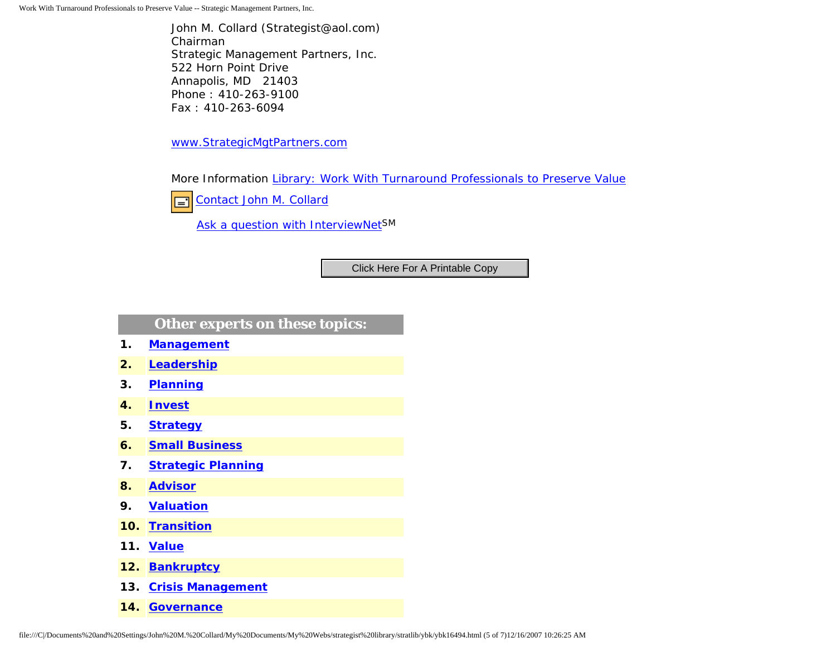Work With Turnaround Professionals to Preserve Value -- Strategic Management Partners, Inc.

John M. Collard (Strategist@aol.com) Chairman Strategic Management Partners, Inc. 522 Horn Point Drive Annapolis, MD 21403 Phone : 410-263-9100 Fax : 410-263-6094

[www.StrategicMgtPartners.com](http://www.strategicmgtpartners.com/)

More Information [Library: Work With Turnaround Professionals to Preserve Value](http://members.aol.com/stratlib/lrmn.html)

[Contact John M. Collard](http://www.expertclick.com/expertClick/contact/default.cfm?Action=ContactExpert&GroupID=1016) 囯

[Ask a question with InterviewNetS](http://www.expertclick.com/expertClick/contact/default.cfm?GroupID=1016)M

# **Other experts on these topics:**

- **1. [Management](http://www.expertclick.com/search/default.cfm?SearchCriteria=Management)**
- **2. [Leadership](http://www.expertclick.com/search/default.cfm?SearchCriteria=Leadership)**
- **3. [Planning](http://www.expertclick.com/search/default.cfm?SearchCriteria=Planning)**
- **4. [Invest](http://www.expertclick.com/search/default.cfm?SearchCriteria=Invest)**
- **5. [Strategy](http://www.expertclick.com/search/default.cfm?SearchCriteria=Strategy)**
- **6. [Small Business](http://www.expertclick.com/search/default.cfm?SearchCriteria=Small Business)**
- **7. [Strategic Planning](http://www.expertclick.com/search/default.cfm?SearchCriteria=Strategic Planning)**
- **8. [Advisor](http://www.expertclick.com/search/default.cfm?SearchCriteria=Advisor)**
- **9. [Valuation](http://www.expertclick.com/search/default.cfm?SearchCriteria=Valuation)**
- **10. [Transition](http://www.expertclick.com/search/default.cfm?SearchCriteria=Transition)**
- **11. [Value](http://www.expertclick.com/search/default.cfm?SearchCriteria=Value)**
- **12. [Bankruptcy](http://www.expertclick.com/search/default.cfm?SearchCriteria=Bankruptcy)**
- **13. [Crisis Management](http://www.expertclick.com/search/default.cfm?SearchCriteria=Crisis Management)**
- **14. [Governance](http://www.expertclick.com/search/default.cfm?SearchCriteria=Governance)**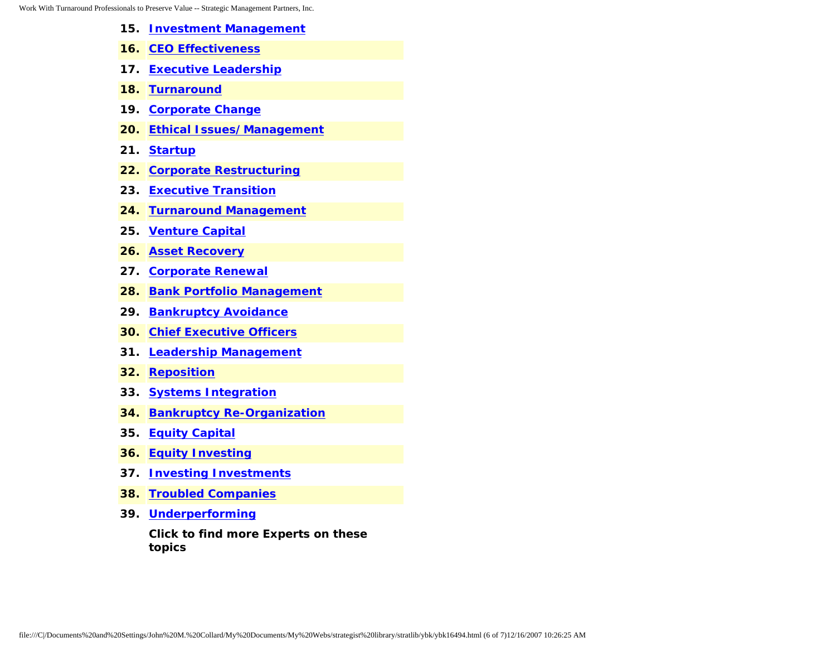- **15. [Investment Management](http://www.expertclick.com/search/default.cfm?SearchCriteria=Investment Management)**
- **16. [CEO Effectiveness](http://www.expertclick.com/search/default.cfm?SearchCriteria=CEO Effectiveness)**
- **17. [Executive Leadership](http://www.expertclick.com/search/default.cfm?SearchCriteria=Executive Leadership)**
- **18. [Turnaround](http://www.expertclick.com/search/default.cfm?SearchCriteria=Turnaround)**
- **19. [Corporate Change](http://www.expertclick.com/search/default.cfm?SearchCriteria=Corporate Change)**
- **20. [Ethical Issues/Management](http://www.expertclick.com/search/default.cfm?SearchCriteria=Ethical Issues/Management)**
- **21. [Startup](http://www.expertclick.com/search/default.cfm?SearchCriteria=Startup)**
- **22. [Corporate Restructuring](http://www.expertclick.com/search/default.cfm?SearchCriteria=Corporate Restructuring)**
- **23. [Executive Transition](http://www.expertclick.com/search/default.cfm?SearchCriteria=Executive Transition)**
- **24. [Turnaround Management](http://www.expertclick.com/search/default.cfm?SearchCriteria=Turnaround Management)**
- **25. [Venture Capital](http://www.expertclick.com/search/default.cfm?SearchCriteria=Venture Capital)**
- **26. [Asset Recovery](http://www.expertclick.com/search/default.cfm?SearchCriteria=Asset Recovery)**
- **27. [Corporate Renewal](http://www.expertclick.com/search/default.cfm?SearchCriteria=Corporate Renewal)**
- **28. [Bank Portfolio Management](http://www.expertclick.com/search/default.cfm?SearchCriteria=Bank Portfolio Management)**
- **29. [Bankruptcy Avoidance](http://www.expertclick.com/search/default.cfm?SearchCriteria=Bankruptcy Avoidance)**
- **30. [Chief Executive Officers](http://www.expertclick.com/search/default.cfm?SearchCriteria=Chief Executive Officers)**
- **31. [Leadership Management](http://www.expertclick.com/search/default.cfm?SearchCriteria=Leadership Management)**
- **32. [Reposition](http://www.expertclick.com/search/default.cfm?SearchCriteria=Reposition)**
- **33. [Systems Integration](http://www.expertclick.com/search/default.cfm?SearchCriteria=Systems Integration)**
- **34. [Bankruptcy Re-Organization](http://www.expertclick.com/search/default.cfm?SearchCriteria=Bankruptcy Re-Organization)**
- **35. [Equity Capital](http://www.expertclick.com/search/default.cfm?SearchCriteria=Equity Capital)**
- **36. [Equity Investing](http://www.expertclick.com/search/default.cfm?SearchCriteria=Equity Investing)**
- **37. [Investing Investments](http://www.expertclick.com/search/default.cfm?SearchCriteria=Investing Investments)**
- **38. [Troubled Companies](http://www.expertclick.com/search/default.cfm?SearchCriteria=Troubled Companies)**
- **39. [Underperforming](http://www.expertclick.com/search/default.cfm?SearchCriteria=Underperforming)**

**Click to find more Experts on these topics**